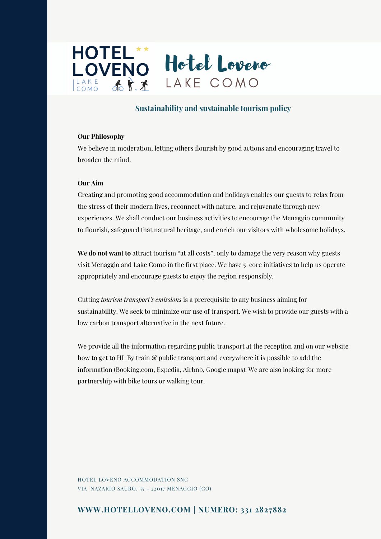

## **Sustainability and sustainable tourism policy**

### **Our Philosophy**

We believe in moderation, letting others flourish by good actions and encouraging travel to broaden the mind.

#### **Our Aim**

Creating and promoting good accommodation and holidays enables our guests to relax from the stress of their modern lives, reconnect with nature, and rejuvenate through new experiences. We shall conduct our business activities to encourage the Menaggio community to flourish, safeguard that natural heritage, and enrich our visitors with wholesome holidays.

**We do not want to** attract tourism "at all costs", only to damage the very reason why guests visit Menaggio and Lake Como in the first place. We have 5 core initiatives to help us operate appropriately and encourage guests to enjoy the region responsibly.

Cutting *tourism transport's emissions* is a prerequisite to any business aiming for sustainability. We seek to minimize our use of transport. We wish to provide our guests with a low carbon transport alternative in the next future.

We provide all the information regarding public transport at the reception and on our website how to get to HL By train  $\mathcal{C}_p$  public transport and everywhere it is possible to add the information (Booking.com, Expedia, Airbnb, Google maps). We are also looking for more partnership with bike tours or walking tour.

HOTEL LOVENO ACCOMMODATION SNC VIA NAZARIO SAURO, 55 - 22017 MENAGGIO (CO)

# **WWW.HOTELLOVENO.COM | NUMERO: 331 2827882**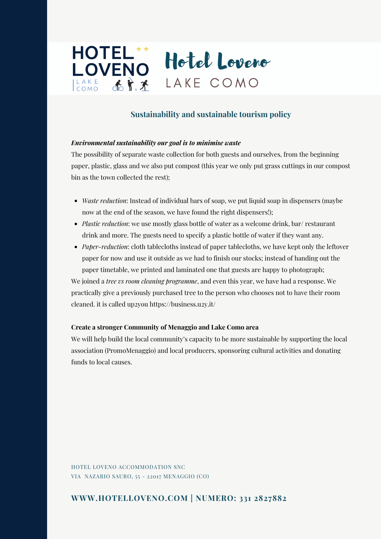

# **Sustainability and sustainable tourism policy**

### *Environmental sustainability our goal is to minimise waste*

The possibility of separate waste collection for both guests and ourselves, from the beginning paper, plastic, glass and we also put compost (this year we only put grass cuttings in our compost bin as the town collected the rest);

- *Waste reduction*: Instead of individual bars of soap, we put liquid soap in dispensers (maybe now at the end of the season, we have found the right dispensers!);
- *Plastic reduction*: we use mostly glass bottle of water as a welcome drink, bar/ restaurant drink and more. The guests need to specify a plastic bottle of water if they want any.
- *Paper-reduction*: cloth tablecloths instead of paper tablecloths, we have kept only the leftover paper for now and use it outside as we had to finish our stocks; instead of handing out the paper timetable, we printed and laminated one that guests are happy to photograph;

We joined a *tree vs room cleaning programme*, and even this year, we have had a response. We practically give a previously purchased tree to the person who chooses not to have their room cleaned. it is called up2you https://business.u2y.it/

### **Create a stronger Community of Menaggio and Lake Como area**

We will help build the local community's capacity to be more sustainable by supporting the local association (PromoMenaggio) and local producers, sponsoring cultural activities and donating funds to local causes.

HOTEL LOVENO ACCOMMODATION SNC VIA NAZARIO SAURO, 55 - 22017 MENAGGIO (CO)

### **WWW.HOTELLOVENO.COM | NUMERO: 331 2827882**